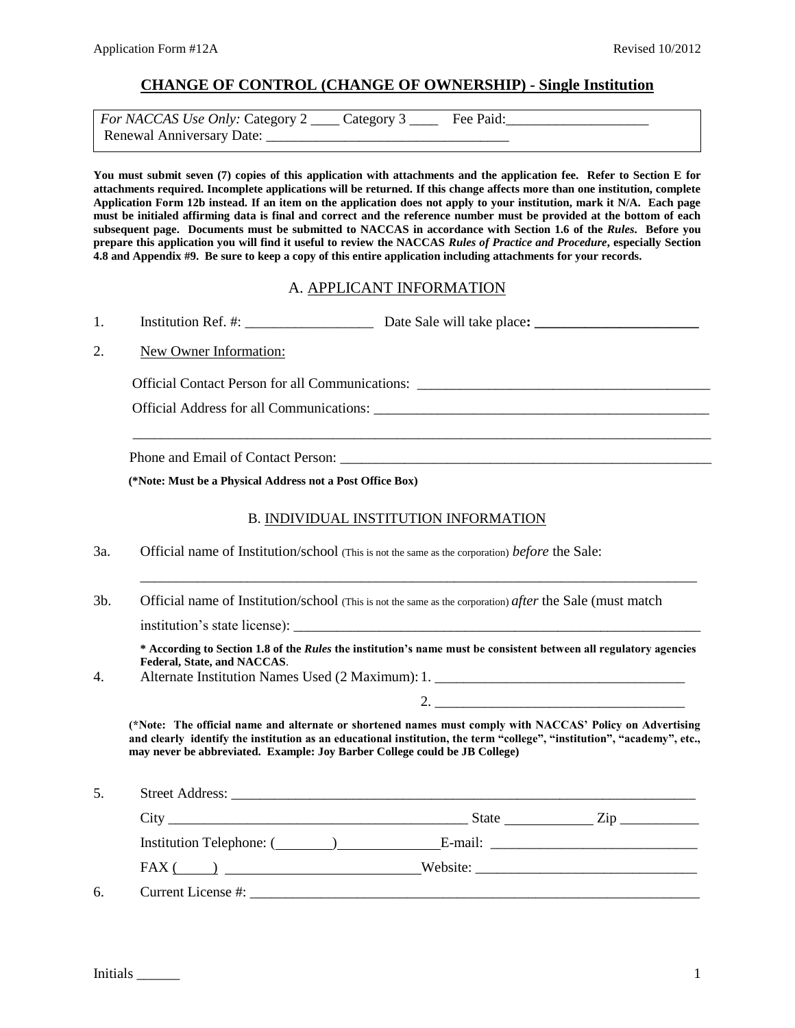# **CHANGE OF CONTROL (CHANGE OF OWNERSHIP) - Single Institution**

| <i>For NACCAS Use Only: Category 2</i> _____ Category 3 _____ | Fee Paid: |  |
|---------------------------------------------------------------|-----------|--|
| <b>Renewal Anniversary Date:</b>                              |           |  |

**You must submit seven (7) copies of this application with attachments and the application fee. Refer to Section E for attachments required. Incomplete applications will be returned. If this change affects more than one institution, complete Application Form 12b instead. If an item on the application does not apply to your institution, mark it N/A. Each page must be initialed affirming data is final and correct and the reference number must be provided at the bottom of each subsequent page. Documents must be submitted to NACCAS in accordance with Section 1.6 of the** *Rules***. Before you prepare this application you will find it useful to review the NACCAS** *Rules of Practice and Procedure***, especially Section 4.8 and Appendix #9. Be sure to keep a copy of this entire application including attachments for your records.** 

# A. APPLICANT INFORMATION

1. Institution Ref. #: \_\_\_\_\_\_\_\_\_\_\_\_\_\_\_\_\_\_ Date Sale will take place**: \_\_\_\_\_\_\_\_\_\_\_\_\_\_\_\_\_\_\_\_\_\_\_**

## 2. New Owner Information:

Official Contact Person for all Communications: \_\_\_\_\_\_\_\_\_\_\_\_\_\_\_\_\_\_\_\_\_\_\_\_\_\_\_\_\_\_\_\_

Official Address for all Communications: \_\_\_\_\_\_\_\_\_\_\_\_\_\_\_\_\_\_\_\_\_\_\_\_\_\_\_\_\_\_\_\_\_\_\_\_\_\_\_\_\_\_\_\_\_\_\_

Phone and Email of Contact Person:

**(\*Note: Must be a Physical Address not a Post Office Box)**

## B. INDIVIDUAL INSTITUTION INFORMATION

\_\_\_\_\_\_\_\_\_\_\_\_\_\_\_\_\_\_\_\_\_\_\_\_\_\_\_\_\_\_\_\_\_\_\_\_\_\_\_\_\_\_\_\_\_\_\_\_\_\_\_\_\_\_\_\_\_\_\_\_\_\_\_\_\_\_\_\_\_\_\_\_\_\_\_\_\_\_\_\_\_

- 3a. Official name of Institution/school (This is not the same as the corporation) *before* the Sale:
- 3b. Official name of Institution/school (This is not the same as the corporation) *after* the Sale (must match

institution's state license):

**\* According to Section 1.8 of the** *Rules* **the institution's name must be consistent between all regulatory agencies Federal, State, and NACCAS**.

2. \_\_\_\_\_\_\_\_\_\_\_\_\_\_\_\_\_\_\_\_\_\_\_\_\_\_\_\_\_\_\_\_\_\_\_

\_\_\_\_\_\_\_\_\_\_\_\_\_\_\_\_\_\_\_\_\_\_\_\_\_\_\_\_\_\_\_\_\_\_\_\_\_\_\_\_\_\_\_\_\_\_\_\_\_\_\_\_\_\_\_\_\_\_\_\_\_\_\_\_\_\_\_\_\_\_\_\_\_\_\_\_\_\_

4. Alternate Institution Names Used (2 Maximum): 1. \_\_\_\_\_\_\_\_\_\_\_\_\_\_\_\_\_\_\_\_\_\_\_\_\_\_\_\_

**(\*Note: The official name and alternate or shortened names must comply with NACCAS' Policy on Advertising and clearly identify the institution as an educational institution, the term "college", "institution", "academy", etc., may never be abbreviated. Example: Joy Barber College could be JB College)** 

5. Street Address: \_\_\_\_\_\_\_\_\_\_\_\_\_\_\_\_\_\_\_\_\_\_\_\_\_\_\_\_\_\_\_\_\_\_\_\_\_\_\_\_\_\_\_\_\_\_\_\_\_\_\_\_\_\_\_\_\_\_\_\_\_\_\_\_\_ City \_\_\_\_\_\_\_\_\_\_\_\_\_\_\_\_\_\_\_\_\_\_\_\_\_\_\_\_\_\_\_\_\_\_\_\_\_\_\_\_\_\_ State Zip \_\_\_\_\_\_\_\_\_\_\_ Institution Telephone: ( ) The E-mail: Letter and E-mail: FAX ( ) Website: \_\_\_\_\_\_\_\_\_\_\_\_\_\_\_\_\_\_\_\_\_\_\_\_\_\_\_\_\_\_\_  $6.$  Current License  $\#$ :

Initials \_\_\_\_\_\_ 1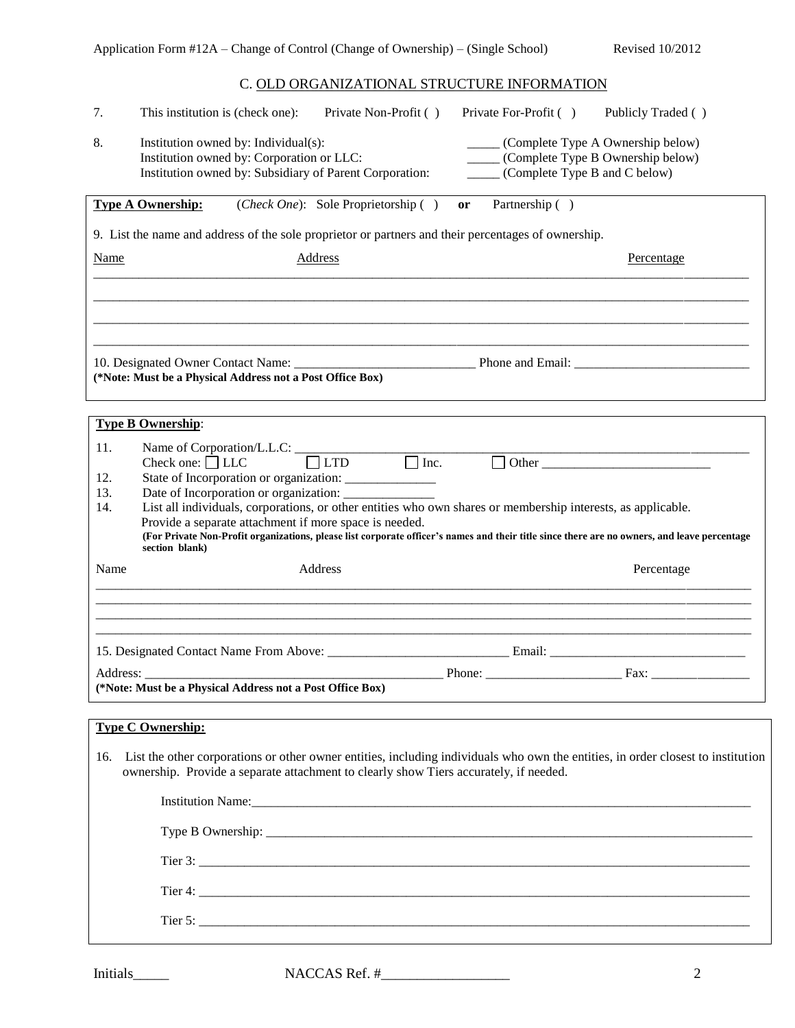# C. OLD ORGANIZATIONAL STRUCTURE INFORMATION

| 7.          | This institution is (check one):<br>Private Non-Profit ()<br>Private For-Profit ()<br>Publicly Traded ()                                                                                                                                                                                                                                 |
|-------------|------------------------------------------------------------------------------------------------------------------------------------------------------------------------------------------------------------------------------------------------------------------------------------------------------------------------------------------|
| 8.          | (Complete Type A Ownership below)<br>Institution owned by: Individual(s):<br>Institution owned by: Corporation or LLC:<br>(Complete Type B Ownership below)<br>(Complete Type B and C below)<br>Institution owned by: Subsidiary of Parent Corporation:                                                                                  |
|             | <b>Type A Ownership:</b><br>( <i>Check One</i> ): Sole Proprietorship ()<br>Partnership ()<br>or                                                                                                                                                                                                                                         |
|             | 9. List the name and address of the sole proprietor or partners and their percentages of ownership.                                                                                                                                                                                                                                      |
| <b>Name</b> | Address<br>Percentage                                                                                                                                                                                                                                                                                                                    |
|             |                                                                                                                                                                                                                                                                                                                                          |
|             |                                                                                                                                                                                                                                                                                                                                          |
|             | (*Note: Must be a Physical Address not a Post Office Box)                                                                                                                                                                                                                                                                                |
|             | <b>Type B Ownership:</b>                                                                                                                                                                                                                                                                                                                 |
| 11.         |                                                                                                                                                                                                                                                                                                                                          |
| 12.<br>13.  | Name of Corporation/L.L.C: $\Box$ LTD $\Box$ Inc. $\Box$ Other $\Box$ Other $\Box$<br>State of Incorporation or organization: _______________                                                                                                                                                                                            |
| 14.         | List all individuals, corporations, or other entities who own shares or membership interests, as applicable.<br>Provide a separate attachment if more space is needed.<br>(For Private Non-Profit organizations, please list corporate officer's names and their title since there are no owners, and leave percentage<br>section blank) |
| Name        | Address<br>Percentage                                                                                                                                                                                                                                                                                                                    |
|             |                                                                                                                                                                                                                                                                                                                                          |
|             |                                                                                                                                                                                                                                                                                                                                          |
|             |                                                                                                                                                                                                                                                                                                                                          |
|             |                                                                                                                                                                                                                                                                                                                                          |
| Address:    | Phone:<br>Fax:<br>(*Note: Must be a Physical Address not a Post Office Box)                                                                                                                                                                                                                                                              |
|             |                                                                                                                                                                                                                                                                                                                                          |
|             | <b>Type C Ownership:</b>                                                                                                                                                                                                                                                                                                                 |
|             | 16. List the other corporations or other owner entities, including individuals who own the entities, in order closest to institution<br>ownership. Provide a separate attachment to clearly show Tiers accurately, if needed.                                                                                                            |
|             |                                                                                                                                                                                                                                                                                                                                          |
|             |                                                                                                                                                                                                                                                                                                                                          |
|             |                                                                                                                                                                                                                                                                                                                                          |
|             |                                                                                                                                                                                                                                                                                                                                          |
|             | Tier 5: $\frac{1}{2}$                                                                                                                                                                                                                                                                                                                    |

Initials\_\_\_\_\_ NACCAS Ref. #\_\_\_\_\_\_\_\_\_\_\_\_\_\_\_\_\_\_ 2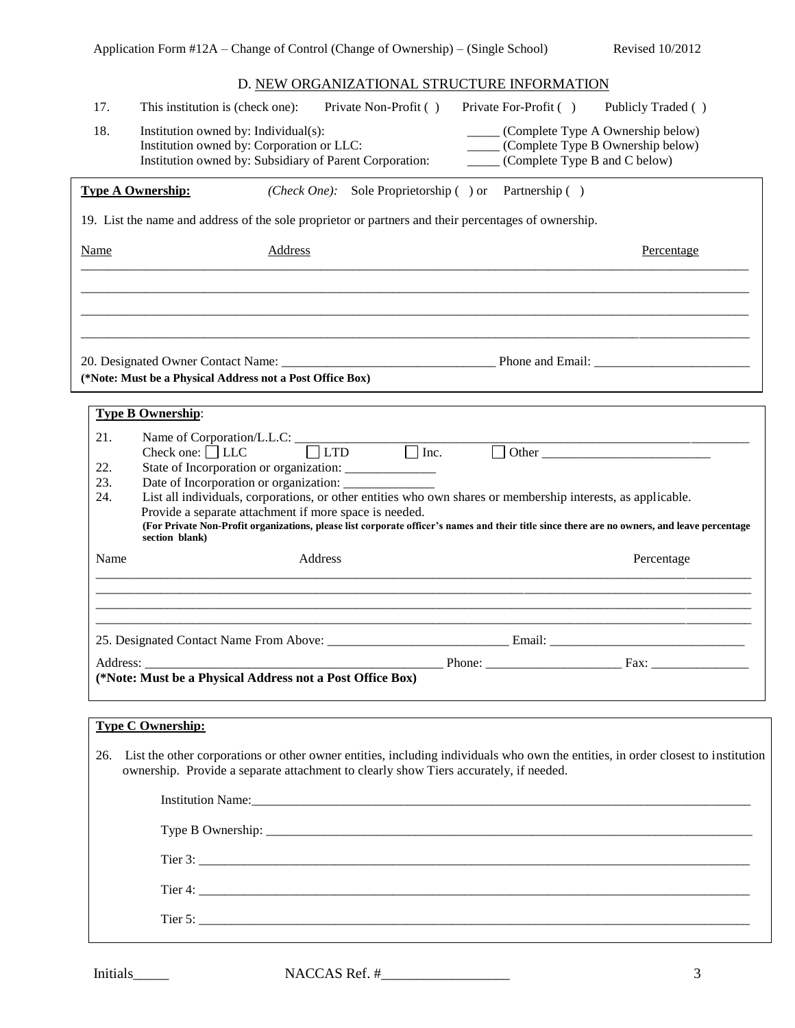# D. NEW ORGANIZATIONAL STRUCTURE INFORMATION

| 17.                      | This institution is (check one):     | Private Non-Profit ()                                                                                                                                                                                                         | Private For-Profit ()                                                                                                            | Publicly Traded () |
|--------------------------|--------------------------------------|-------------------------------------------------------------------------------------------------------------------------------------------------------------------------------------------------------------------------------|----------------------------------------------------------------------------------------------------------------------------------|--------------------|
| 18.                      | Institution owned by: Individual(s): | Institution owned by: Corporation or LLC:<br>Institution owned by: Subsidiary of Parent Corporation:                                                                                                                          | ______ (Complete Type A Ownership below)<br>_____ (Complete Type B Ownership below)<br>$\_\_\_\_\$ (Complete Type B and C below) |                    |
|                          | <b>Type A Ownership:</b>             |                                                                                                                                                                                                                               | ( <i>Check One</i> ): Sole Proprietorship () or Partnership ()                                                                   |                    |
|                          |                                      | 19. List the name and address of the sole proprietor or partners and their percentages of ownership.                                                                                                                          |                                                                                                                                  |                    |
| <b>Name</b>              |                                      | <b>Address</b>                                                                                                                                                                                                                |                                                                                                                                  | Percentage         |
|                          |                                      |                                                                                                                                                                                                                               |                                                                                                                                  |                    |
|                          |                                      | (*Note: Must be a Physical Address not a Post Office Box)                                                                                                                                                                     |                                                                                                                                  |                    |
|                          | <b>Type B Ownership:</b>             |                                                                                                                                                                                                                               |                                                                                                                                  |                    |
| 21.<br>22.<br>23.<br>24. |                                      | Name of Corporation/L.L.C: $\qquad \qquad \qquad$ LTD $\qquad \qquad$ Inc.<br>State of Incorporation or organization: ______________                                                                                          | Г                                                                                                                                |                    |
|                          | section blank)                       | Provide a separate attachment if more space is needed.<br>(For Private Non-Profit organizations, please list corporate officer's names and their title since there are no owners, and leave percentage                        | List all individuals, corporations, or other entities who own shares or membership interests, as applicable.                     |                    |
| Name                     |                                      | Address                                                                                                                                                                                                                       |                                                                                                                                  | Percentage         |
|                          |                                      |                                                                                                                                                                                                                               |                                                                                                                                  |                    |
|                          |                                      | (*Note: Must be a Physical Address not a Post Office Box)                                                                                                                                                                     |                                                                                                                                  |                    |
|                          |                                      |                                                                                                                                                                                                                               |                                                                                                                                  |                    |
|                          | <b>Type C Ownership:</b>             | 26. List the other corporations or other owner entities, including individuals who own the entities, in order closest to institution<br>ownership. Provide a separate attachment to clearly show Tiers accurately, if needed. |                                                                                                                                  |                    |
|                          |                                      |                                                                                                                                                                                                                               |                                                                                                                                  |                    |
|                          |                                      |                                                                                                                                                                                                                               |                                                                                                                                  |                    |
|                          |                                      |                                                                                                                                                                                                                               |                                                                                                                                  |                    |

Initials\_\_\_\_\_ NACCAS Ref. #\_\_\_\_\_\_\_\_\_\_\_\_\_\_\_\_\_\_ 3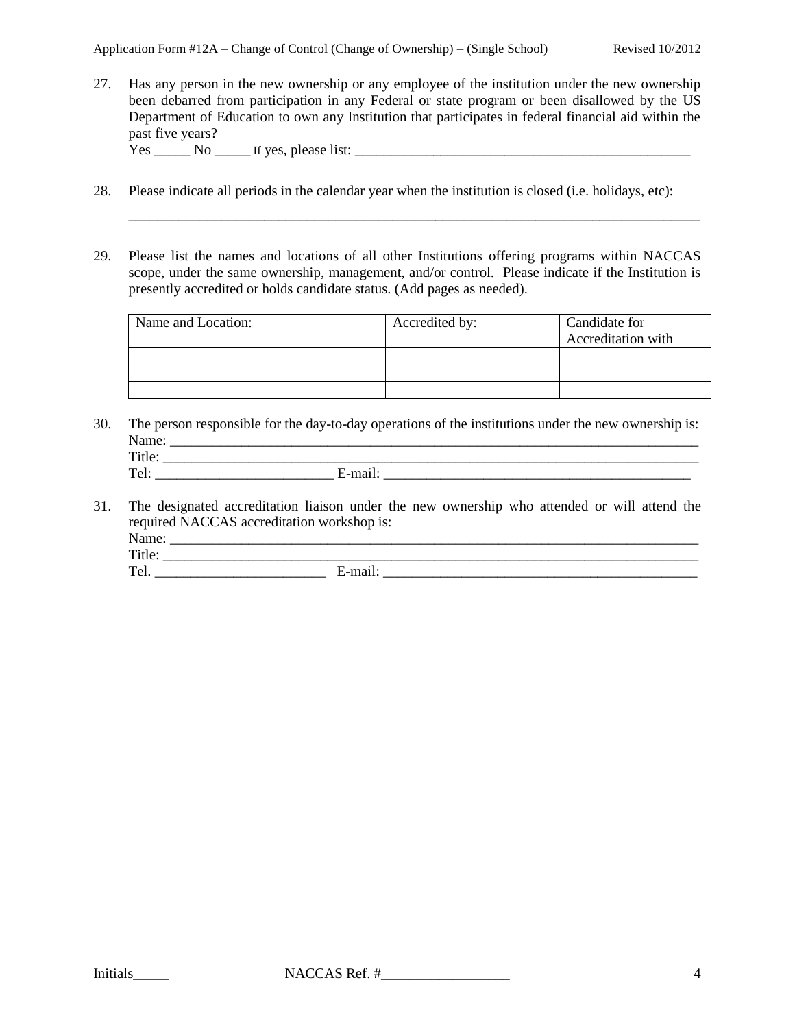27. Has any person in the new ownership or any employee of the institution under the new ownership been debarred from participation in any Federal or state program or been disallowed by the US Department of Education to own any Institution that participates in federal financial aid within the past five years?  $Yes$  No If yes, please list:

- 28. Please indicate all periods in the calendar year when the institution is closed (i.e. holidays, etc):
- 29. Please list the names and locations of all other Institutions offering programs within NACCAS scope, under the same ownership, management, and/or control. Please indicate if the Institution is presently accredited or holds candidate status. (Add pages as needed).

\_\_\_\_\_\_\_\_\_\_\_\_\_\_\_\_\_\_\_\_\_\_\_\_\_\_\_\_\_\_\_\_\_\_\_\_\_\_\_\_\_\_\_\_\_\_\_\_\_\_\_\_\_\_\_\_\_\_\_\_\_\_\_\_\_\_\_\_\_\_\_\_\_\_\_\_\_\_\_\_

| Name and Location: | Accredited by: | Candidate for<br>Accreditation with |
|--------------------|----------------|-------------------------------------|
|                    |                |                                     |
|                    |                |                                     |
|                    |                |                                     |

30. The person responsible for the day-to-day operations of the institutions under the new ownership is: Name: \_\_\_\_\_\_\_\_\_\_\_\_\_\_\_\_\_\_\_\_\_\_\_\_\_\_\_\_\_\_\_\_\_\_\_\_\_\_\_\_\_\_\_\_\_\_\_\_\_\_\_\_\_\_\_\_\_\_\_\_\_\_\_\_\_\_\_\_\_\_\_\_\_\_ Title: \_\_\_\_\_\_\_\_\_\_\_\_\_\_\_\_\_\_\_\_\_\_\_\_\_\_\_\_\_\_\_\_\_\_\_\_\_\_\_\_\_\_\_\_\_\_\_\_\_\_\_\_\_\_\_\_\_\_\_\_\_\_\_\_\_\_\_\_\_\_\_\_\_\_\_

| $\sim$ |                          |  |
|--------|--------------------------|--|
|        |                          |  |
|        | $\overline{\phantom{a}}$ |  |
|        | $ -$                     |  |

31. The designated accreditation liaison under the new ownership who attended or will attend the required NACCAS accreditation workshop is: Name: \_\_\_\_\_\_\_\_\_\_\_\_\_\_\_\_\_\_\_\_\_\_\_\_\_\_\_\_\_\_\_\_\_\_\_\_\_\_\_\_\_\_\_\_\_\_\_\_\_\_\_\_\_\_\_\_\_\_\_\_\_\_\_\_\_\_\_\_\_\_\_\_\_\_ Title: \_\_\_\_\_\_\_\_\_\_\_\_\_\_\_\_\_\_\_\_\_\_\_\_\_\_\_\_\_\_\_\_\_\_\_\_\_\_\_\_\_\_\_\_\_\_\_\_\_\_\_\_\_\_\_\_\_\_\_\_\_\_\_\_\_\_\_\_\_\_\_\_\_\_\_

Tel. \_\_\_\_\_\_\_\_\_\_\_\_\_\_\_\_\_\_\_\_\_\_\_\_ E-mail: \_\_\_\_\_\_\_\_\_\_\_\_\_\_\_\_\_\_\_\_\_\_\_\_\_\_\_\_\_\_\_\_\_\_\_\_\_\_\_\_\_\_\_\_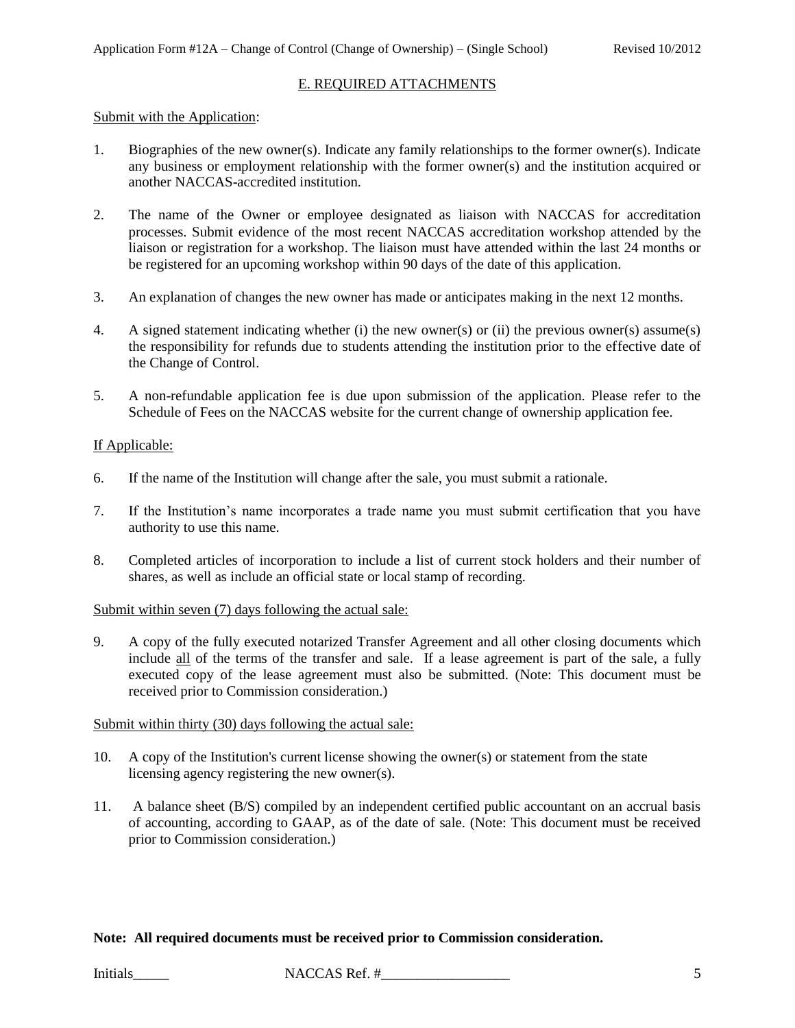#### E. REQUIRED ATTACHMENTS

#### Submit with the Application:

- 1. Biographies of the new owner(s). Indicate any family relationships to the former owner(s). Indicate any business or employment relationship with the former owner(s) and the institution acquired or another NACCAS-accredited institution.
- 2. The name of the Owner or employee designated as liaison with NACCAS for accreditation processes. Submit evidence of the most recent NACCAS accreditation workshop attended by the liaison or registration for a workshop. The liaison must have attended within the last 24 months or be registered for an upcoming workshop within 90 days of the date of this application.
- 3. An explanation of changes the new owner has made or anticipates making in the next 12 months.
- 4. A signed statement indicating whether (i) the new owner(s) or (ii) the previous owner(s) assume(s) the responsibility for refunds due to students attending the institution prior to the effective date of the Change of Control.
- 5. A non-refundable application fee is due upon submission of the application. Please refer to the Schedule of Fees on the NACCAS website for the current change of ownership application fee.

## If Applicable:

- 6. If the name of the Institution will change after the sale, you must submit a rationale.
- 7. If the Institution's name incorporates a trade name you must submit certification that you have authority to use this name.
- 8. Completed articles of incorporation to include a list of current stock holders and their number of shares, as well as include an official state or local stamp of recording.

#### Submit within seven (7) days following the actual sale:

9. A copy of the fully executed notarized Transfer Agreement and all other closing documents which include all of the terms of the transfer and sale. If a lease agreement is part of the sale, a fully executed copy of the lease agreement must also be submitted. (Note: This document must be received prior to Commission consideration.)

### Submit within thirty (30) days following the actual sale:

- 10. A copy of the Institution's current license showing the owner(s) or statement from the state licensing agency registering the new owner(s).
- 11. A balance sheet (B/S) compiled by an independent certified public accountant on an accrual basis of accounting, according to GAAP, as of the date of sale. (Note: This document must be received prior to Commission consideration.)

# **Note: All required documents must be received prior to Commission consideration.**